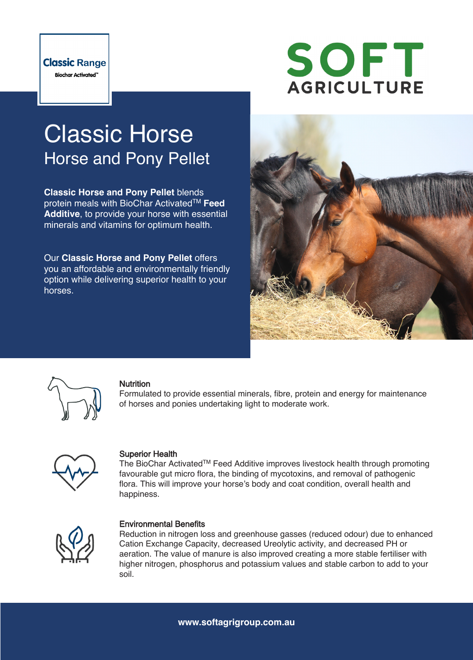

# SOFT **AGRICULTURE**

## Classic Horse Horse and Pony Pellet

**Classic Horse and Pony Pellet** blends protein meals with BioChar ActivatedTM **Feed Additive**, to provide your horse with essential minerals and vitamins for optimum health.

Our **Classic Horse and Pony Pellet** offers you an affordable and environmentally friendly option while delivering superior health to your horses.





#### **Nutrition**

Formulated to provide essential minerals, fibre, protein and energy for maintenance of horses and ponies undertaking light to moderate work.



#### Superior Health

The BioChar ActivatedTM Feed Additive improves livestock health through promoting favourable gut micro flora, the binding of mycotoxins, and removal of pathogenic flora. This will improve your horse's body and coat condition, overall health and happiness.



#### Environmental Benefits

Reduction in nitrogen loss and greenhouse gasses (reduced odour) due to enhanced Cation Exchange Capacity, decreased Ureolytic activity, and decreased PH or aeration. The value of manure is also improved creating a more stable fertiliser with higher nitrogen, phosphorus and potassium values and stable carbon to add to your soil.